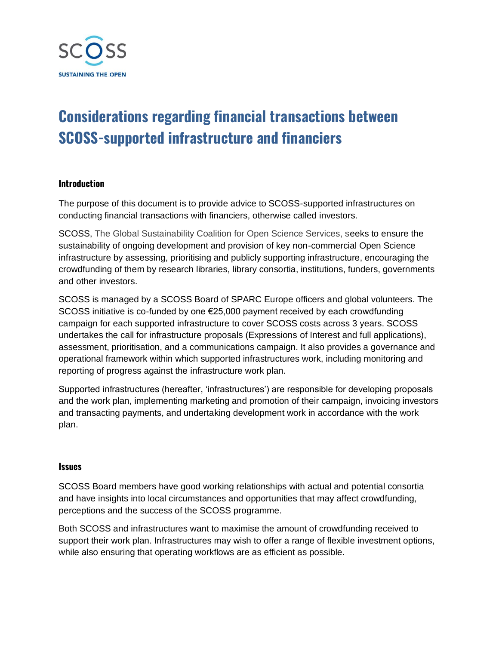

## **Considerations regarding financial transactions between SCOSS-supported infrastructure and financiers**

## **Introduction**

The purpose of this document is to provide advice to SCOSS-supported infrastructures on conducting financial transactions with financiers, otherwise called investors.

SCOSS, The Global Sustainability Coalition for Open Science Services, seeks to ensure the sustainability of ongoing development and provision of key non-commercial Open Science infrastructure by assessing, prioritising and publicly supporting infrastructure, encouraging the crowdfunding of them by research libraries, library consortia, institutions, funders, governments and other investors.

SCOSS is managed by a SCOSS Board of SPARC Europe officers and global volunteers. The SCOSS initiative is co-funded by one €25,000 payment received by each crowdfunding campaign for each supported infrastructure to cover SCOSS costs across 3 years. SCOSS undertakes the call for infrastructure proposals (Expressions of Interest and full applications), assessment, prioritisation, and a communications campaign. It also provides a governance and operational framework within which supported infrastructures work, including monitoring and reporting of progress against the infrastructure work plan.

Supported infrastructures (hereafter, 'infrastructures') are responsible for developing proposals and the work plan, implementing marketing and promotion of their campaign, invoicing investors and transacting payments, and undertaking development work in accordance with the work plan.

## **Issues**

SCOSS Board members have good working relationships with actual and potential consortia and have insights into local circumstances and opportunities that may affect crowdfunding, perceptions and the success of the SCOSS programme.

Both SCOSS and infrastructures want to maximise the amount of crowdfunding received to support their work plan. Infrastructures may wish to offer a range of flexible investment options, while also ensuring that operating workflows are as efficient as possible.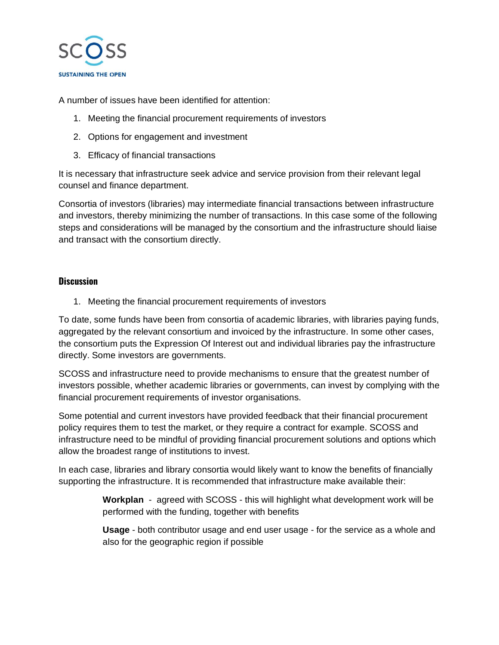

A number of issues have been identified for attention:

- 1. Meeting the financial procurement requirements of investors
- 2. Options for engagement and investment
- 3. Efficacy of financial transactions

It is necessary that infrastructure seek advice and service provision from their relevant legal counsel and finance department.

Consortia of investors (libraries) may intermediate financial transactions between infrastructure and investors, thereby minimizing the number of transactions. In this case some of the following steps and considerations will be managed by the consortium and the infrastructure should liaise and transact with the consortium directly.

## **Discussion**

1. Meeting the financial procurement requirements of investors

To date, some funds have been from consortia of academic libraries, with libraries paying funds, aggregated by the relevant consortium and invoiced by the infrastructure. In some other cases, the consortium puts the Expression Of Interest out and individual libraries pay the infrastructure directly. Some investors are governments.

SCOSS and infrastructure need to provide mechanisms to ensure that the greatest number of investors possible, whether academic libraries or governments, can invest by complying with the financial procurement requirements of investor organisations.

Some potential and current investors have provided feedback that their financial procurement policy requires them to test the market, or they require a contract for example. SCOSS and infrastructure need to be mindful of providing financial procurement solutions and options which allow the broadest range of institutions to invest.

In each case, libraries and library consortia would likely want to know the benefits of financially supporting the infrastructure. It is recommended that infrastructure make available their:

> **Workplan** - agreed with SCOSS - this will highlight what development work will be performed with the funding, together with benefits

> **Usage** - both contributor usage and end user usage - for the service as a whole and also for the geographic region if possible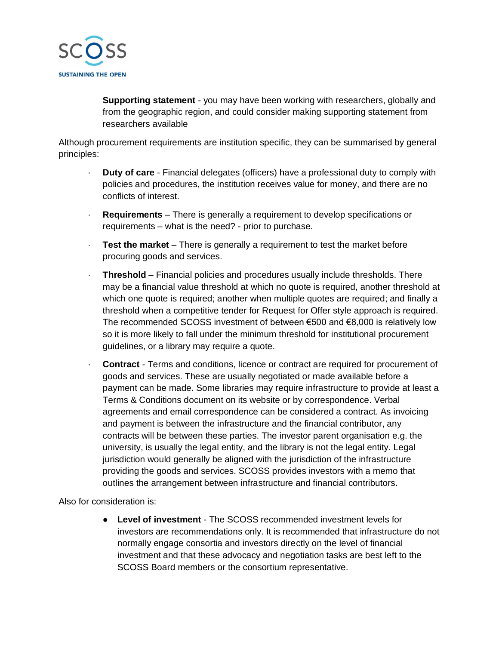

**Supporting statement** - you may have been working with researchers, globally and from the geographic region, and could consider making supporting statement from researchers available

Although procurement requirements are institution specific, they can be summarised by general principles:

- · **Duty of care** Financial delegates (officers) have a professional duty to comply with policies and procedures, the institution receives value for money, and there are no conflicts of interest.
- · **Requirements**  There is generally a requirement to develop specifications or requirements – what is the need? - prior to purchase.
- · **Test the market** There is generally a requirement to test the market before procuring goods and services.
- · **Threshold**  Financial policies and procedures usually include thresholds. There may be a financial value threshold at which no quote is required, another threshold at which one quote is required; another when multiple quotes are required; and finally a threshold when a competitive tender for Request for Offer style approach is required. The recommended SCOSS investment of between €500 and €8,000 is relatively low so it is more likely to fall under the minimum threshold for institutional procurement guidelines, or a library may require a quote.
- · **Contract** Terms and conditions, licence or contract are required for procurement of goods and services. These are usually negotiated or made available before a payment can be made. Some libraries may require infrastructure to provide at least a Terms & Conditions document on its website or by correspondence. Verbal agreements and email correspondence can be considered a contract. As invoicing and payment is between the infrastructure and the financial contributor, any contracts will be between these parties. The investor parent organisation e.g. the university, is usually the legal entity, and the library is not the legal entity. Legal jurisdiction would generally be aligned with the jurisdiction of the infrastructure providing the goods and services. SCOSS provides investors with a memo that outlines the arrangement between infrastructure and financial contributors.

Also for consideration is:

● **Level of investment** - The SCOSS recommended investment levels for investors are recommendations only. It is recommended that infrastructure do not normally engage consortia and investors directly on the level of financial investment and that these advocacy and negotiation tasks are best left to the SCOSS Board members or the consortium representative.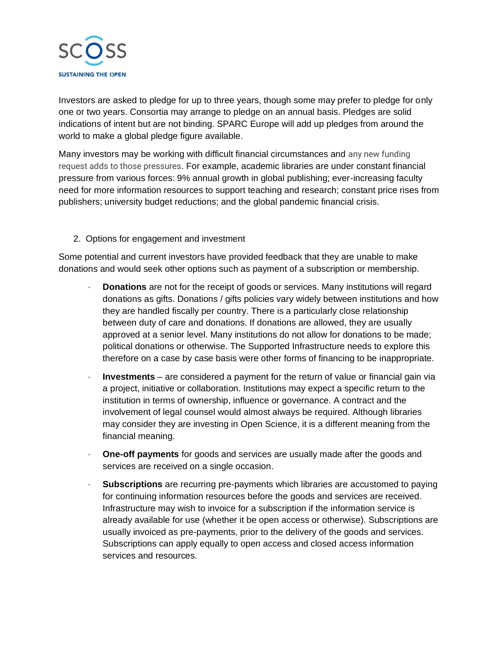

Investors are asked to pledge for up to three years, though some may prefer to pledge for only one or two years. Consortia may arrange to pledge on an annual basis. Pledges are solid indications of intent but are not binding. SPARC Europe will add up pledges from around the world to make a global pledge figure available.

Many investors may be working with difficult financial circumstances and any new funding request adds to those pressures. For example, academic libraries are under constant financial pressure from various forces: 9% annual growth in global publishing; ever-increasing faculty need for more information resources to support teaching and research; constant price rises from publishers; university budget reductions; and the global pandemic financial crisis.

2. Options for engagement and investment

Some potential and current investors have provided feedback that they are unable to make donations and would seek other options such as payment of a subscription or membership.

- · **Donations** are not for the receipt of goods or services. Many institutions will regard donations as gifts. Donations / gifts policies vary widely between institutions and how they are handled fiscally per country. There is a particularly close relationship between duty of care and donations. If donations are allowed, they are usually approved at a senior level. Many institutions do not allow for donations to be made; political donations or otherwise. The Supported Infrastructure needs to explore this therefore on a case by case basis were other forms of financing to be inappropriate.
- · **Investments**  are considered a payment for the return of value or financial gain via a project, initiative or collaboration. Institutions may expect a specific return to the institution in terms of ownership, influence or governance. A contract and the involvement of legal counsel would almost always be required. Although libraries may consider they are investing in Open Science, it is a different meaning from the financial meaning.
- · **One-off payments** for goods and services are usually made after the goods and services are received on a single occasion.
- · **Subscriptions** are recurring pre-payments which libraries are accustomed to paying for continuing information resources before the goods and services are received. Infrastructure may wish to invoice for a subscription if the information service is already available for use (whether it be open access or otherwise). Subscriptions are usually invoiced as pre-payments, prior to the delivery of the goods and services. Subscriptions can apply equally to open access and closed access information services and resources.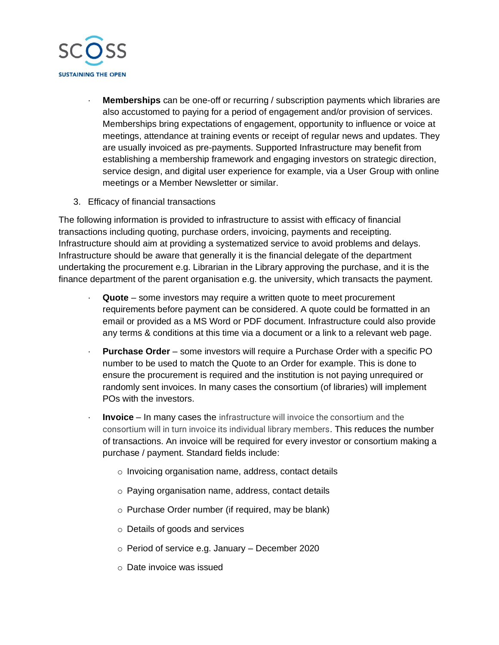

- · **Memberships** can be one-off or recurring / subscription payments which libraries are also accustomed to paying for a period of engagement and/or provision of services. Memberships bring expectations of engagement, opportunity to influence or voice at meetings, attendance at training events or receipt of regular news and updates. They are usually invoiced as pre-payments. Supported Infrastructure may benefit from establishing a membership framework and engaging investors on strategic direction, service design, and digital user experience for example, via a User Group with online meetings or a Member Newsletter or similar.
- 3. Efficacy of financial transactions

The following information is provided to infrastructure to assist with efficacy of financial transactions including quoting, purchase orders, invoicing, payments and receipting. Infrastructure should aim at providing a systematized service to avoid problems and delays. Infrastructure should be aware that generally it is the financial delegate of the department undertaking the procurement e.g. Librarian in the Library approving the purchase, and it is the finance department of the parent organisation e.g. the university, which transacts the payment.

- · **Quote** some investors may require a written quote to meet procurement requirements before payment can be considered. A quote could be formatted in an email or provided as a MS Word or PDF document. Infrastructure could also provide any terms & conditions at this time via a document or a link to a relevant web page.
- · **Purchase Order** some investors will require a Purchase Order with a specific PO number to be used to match the Quote to an Order for example. This is done to ensure the procurement is required and the institution is not paying unrequired or randomly sent invoices. In many cases the consortium (of libraries) will implement POs with the investors.
- · **Invoice** In many cases the infrastructure will invoice the consortium and the consortium will in turn invoice its individual library members. This reduces the number of transactions. An invoice will be required for every investor or consortium making a purchase / payment. Standard fields include:
	- o Invoicing organisation name, address, contact details
	- o Paying organisation name, address, contact details
	- o Purchase Order number (if required, may be blank)
	- o Details of goods and services
	- o Period of service e.g. January December 2020
	- o Date invoice was issued